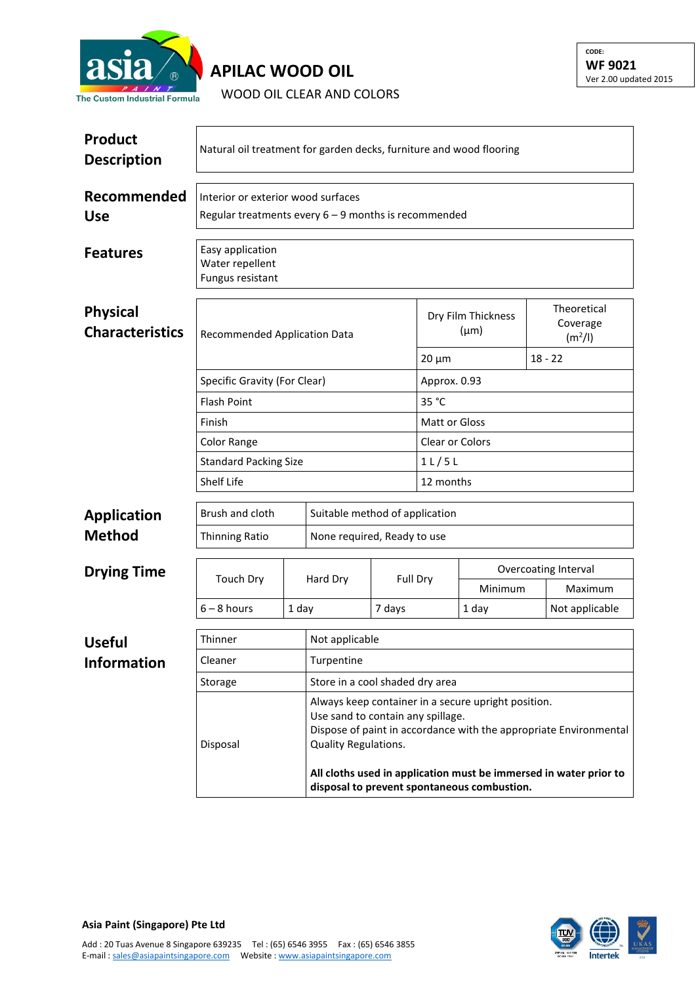

## **APILAC WOOD OIL**

WOOD OIL CLEAR AND COLORS

| <b>Product</b><br><b>Description</b>      | Natural oil treatment for garden decks, furniture and wood flooring                        |                                                                                                                                                                                                                                                                                                           |                                 |                 |                                 |                      |                                                |                |  |
|-------------------------------------------|--------------------------------------------------------------------------------------------|-----------------------------------------------------------------------------------------------------------------------------------------------------------------------------------------------------------------------------------------------------------------------------------------------------------|---------------------------------|-----------------|---------------------------------|----------------------|------------------------------------------------|----------------|--|
| Recommended<br><b>Use</b>                 | Interior or exterior wood surfaces<br>Regular treatments every 6 - 9 months is recommended |                                                                                                                                                                                                                                                                                                           |                                 |                 |                                 |                      |                                                |                |  |
| <b>Features</b>                           | Easy application<br>Water repellent<br>Fungus resistant                                    |                                                                                                                                                                                                                                                                                                           |                                 |                 |                                 |                      |                                                |                |  |
| <b>Physical</b><br><b>Characteristics</b> | Recommended Application Data                                                               |                                                                                                                                                                                                                                                                                                           |                                 |                 | Dry Film Thickness<br>$(\mu m)$ |                      | Theoretical<br>Coverage<br>(m <sup>2</sup> /I) |                |  |
|                                           | $20 \mu m$                                                                                 |                                                                                                                                                                                                                                                                                                           |                                 |                 |                                 |                      |                                                | $18 - 22$      |  |
|                                           | Specific Gravity (For Clear)                                                               |                                                                                                                                                                                                                                                                                                           |                                 |                 | Approx. 0.93                    |                      |                                                |                |  |
|                                           | <b>Flash Point</b>                                                                         |                                                                                                                                                                                                                                                                                                           |                                 |                 | 35 °C                           |                      |                                                |                |  |
|                                           | Finish                                                                                     |                                                                                                                                                                                                                                                                                                           |                                 |                 | Matt or Gloss                   |                      |                                                |                |  |
|                                           | Color Range                                                                                |                                                                                                                                                                                                                                                                                                           |                                 | Clear or Colors |                                 |                      |                                                |                |  |
|                                           | <b>Standard Packing Size</b>                                                               |                                                                                                                                                                                                                                                                                                           |                                 | 11/5L           |                                 |                      |                                                |                |  |
|                                           | Shelf Life                                                                                 |                                                                                                                                                                                                                                                                                                           |                                 |                 | 12 months                       |                      |                                                |                |  |
| <b>Application</b>                        | Brush and cloth                                                                            |                                                                                                                                                                                                                                                                                                           | Suitable method of application  |                 |                                 |                      |                                                |                |  |
| <b>Method</b>                             | <b>Thinning Ratio</b>                                                                      |                                                                                                                                                                                                                                                                                                           | None required, Ready to use     |                 |                                 |                      |                                                |                |  |
| <b>Drying Time</b>                        | <b>Touch Dry</b>                                                                           |                                                                                                                                                                                                                                                                                                           |                                 |                 |                                 | Overcoating Interval |                                                |                |  |
|                                           |                                                                                            |                                                                                                                                                                                                                                                                                                           | Hard Dry                        | Full Dry        |                                 | Minimum              |                                                | Maximum        |  |
|                                           | $6 - 8$ hours                                                                              | 1 day                                                                                                                                                                                                                                                                                                     |                                 | 7 days          |                                 | 1 day                |                                                | Not applicable |  |
| <b>Useful</b>                             | Thinner                                                                                    |                                                                                                                                                                                                                                                                                                           | Not applicable                  |                 |                                 |                      |                                                |                |  |
| <b>Information</b>                        | Cleaner                                                                                    |                                                                                                                                                                                                                                                                                                           | Turpentine                      |                 |                                 |                      |                                                |                |  |
|                                           | Storage                                                                                    |                                                                                                                                                                                                                                                                                                           | Store in a cool shaded dry area |                 |                                 |                      |                                                |                |  |
| Disposal                                  |                                                                                            | Always keep container in a secure upright position.<br>Use sand to contain any spillage.<br>Dispose of paint in accordance with the appropriate Environmental<br>Quality Regulations.<br>All cloths used in application must be immersed in water prior to<br>disposal to prevent spontaneous combustion. |                                 |                 |                                 |                      |                                                |                |  |